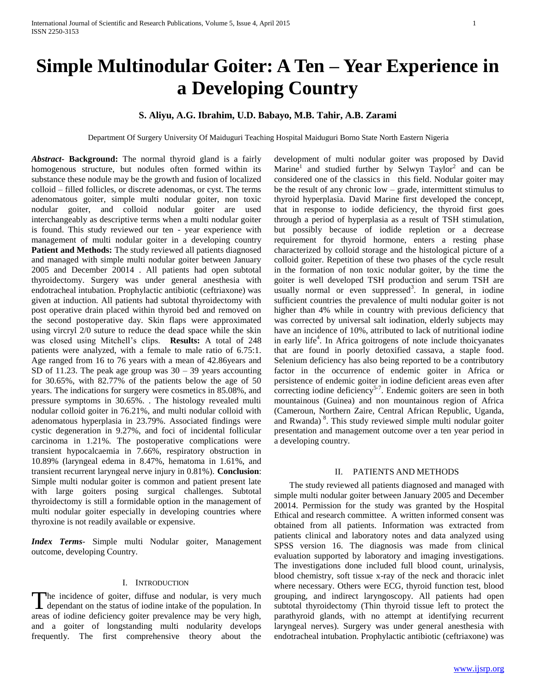# **Simple Multinodular Goiter: A Ten – Year Experience in a Developing Country**

# **S. Aliyu, A.G. Ibrahim, U.D. Babayo, M.B. Tahir, A.B. Zarami**

Department Of Surgery University Of Maiduguri Teaching Hospital Maiduguri Borno State North Eastern Nigeria

*Abstract***- Background:** The normal thyroid gland is a fairly homogenous structure, but nodules often formed within its substance these nodule may be the growth and fusion of localized colloid – filled follicles, or discrete adenomas, or cyst. The terms adenomatous goiter, simple multi nodular goiter, non toxic nodular goiter, and colloid nodular goiter are used interchangeably as descriptive terms when a multi nodular goiter is found. This study reviewed our ten - year experience with management of multi nodular goiter in a developing country **Patient and Methods:** The study reviewed all patients diagnosed and managed with simple multi nodular goiter between January 2005 and December 20014 . All patients had open subtotal thyroidectomy. Surgery was under general anesthesia with endotracheal intubation. Prophylactic antibiotic (ceftriaxone) was given at induction. All patients had subtotal thyroidectomy with post operative drain placed within thyroid bed and removed on the second postoperative day. Skin flaps were approximated using vircryl 2/0 suture to reduce the dead space while the skin was closed using Mitchell's clips. **Results:** A total of 248 patients were analyzed, with a female to male ratio of 6.75:1. Age ranged from 16 to 76 years with a mean of 42.86years and SD of 11.23. The peak age group was  $30 - 39$  years accounting for 30.65%, with 82.77% of the patients below the age of 50 years. The indications for surgery were cosmetics in 85.08%, and pressure symptoms in 30.65%. . The histology revealed multi nodular colloid goiter in 76.21%, and multi nodular colloid with adenomatous hyperplasia in 23.79%. Associated findings were cystic degeneration in 9.27%, and foci of incidental follicular carcinoma in 1.21%. The postoperative complications were transient hypocalcaemia in 7.66%, respiratory obstruction in 10.89% (laryngeal edema in 8.47%, hematoma in 1.61%, and transient recurrent laryngeal nerve injury in 0.81%). **Conclusion**: Simple multi nodular goiter is common and patient present late with large goiters posing surgical challenges. Subtotal thyroidectomy is still a formidable option in the management of multi nodular goiter especially in developing countries where thyroxine is not readily available or expensive.

*Index Terms*- Simple multi Nodular goiter, Management outcome, developing Country.

## I. INTRODUCTION

The incidence of goiter, diffuse and nodular, is very much The incidence of goiter, diffuse and nodular, is very much dependant on the status of iodine intake of the population. In areas of iodine deficiency goiter prevalence may be very high, and a goiter of longstanding multi nodularity develops frequently. The first comprehensive theory about the

development of multi nodular goiter was proposed by David Marine<sup>1</sup> and studied further by Selwyn Taylor<sup>2</sup> and can be considered one of the classics in this field. Nodular goiter may be the result of any chronic low – grade, intermittent stimulus to thyroid hyperplasia. David Marine first developed the concept, that in response to iodide deficiency, the thyroid first goes through a period of hyperplasia as a result of TSH stimulation, but possibly because of iodide repletion or a decrease requirement for thyroid hormone, enters a resting phase characterized by colloid storage and the histological picture of a colloid goiter. Repetition of these two phases of the cycle result in the formation of non toxic nodular goiter, by the time the goiter is well developed TSH production and serum TSH are usually normal or even suppressed<sup>3</sup>. In general, in iodine sufficient countries the prevalence of multi nodular goiter is not higher than 4% while in country with previous deficiency that was corrected by universal salt iodination, elderly subjects may have an incidence of 10%, attributed to lack of nutritional iodine in early life<sup>4</sup>. In Africa goitrogens of note include thoicyanates that are found in poorly detoxified cassava, a staple food. Selenium deficiency has also being reported to be a contributory factor in the occurrence of endemic goiter in Africa or persistence of endemic goiter in iodine deficient areas even after correcting iodine deficiency<sup>5-7</sup>. Endemic goiters are seen in both mountainous (Guinea) and non mountainous region of Africa (Cameroun, Northern Zaire, Central African Republic, Uganda, and Rwanda)<sup>8</sup>. This study reviewed simple multi nodular goiter presentation and management outcome over a ten year period in a developing country.

## II. PATIENTS AND METHODS

 The study reviewed all patients diagnosed and managed with simple multi nodular goiter between January 2005 and December 20014. Permission for the study was granted by the Hospital Ethical and research committee. A written informed consent was obtained from all patients. Information was extracted from patients clinical and laboratory notes and data analyzed using SPSS version 16. The diagnosis was made from clinical evaluation supported by laboratory and imaging investigations. The investigations done included full blood count, urinalysis, blood chemistry, soft tissue x-ray of the neck and thoracic inlet where necessary. Others were ECG, thyroid function test, blood grouping, and indirect laryngoscopy. All patients had open subtotal thyroidectomy (Thin thyroid tissue left to protect the parathyroid glands, with no attempt at identifying recurrent laryngeal nerves). Surgery was under general anesthesia with endotracheal intubation. Prophylactic antibiotic (ceftriaxone) was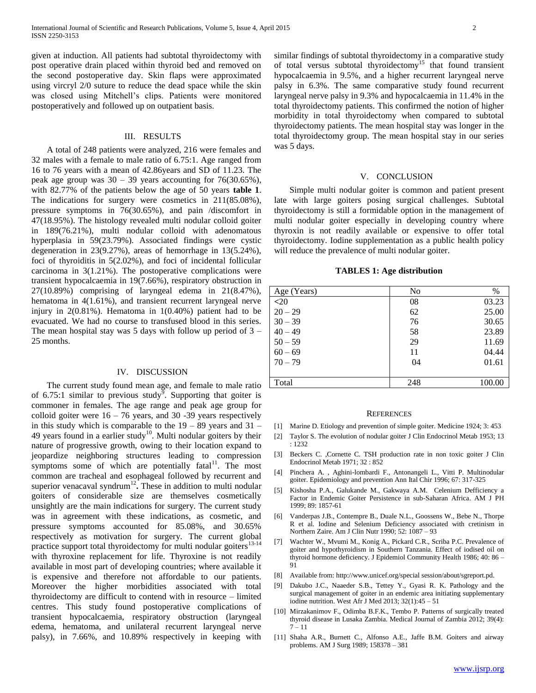given at induction. All patients had subtotal thyroidectomy with post operative drain placed within thyroid bed and removed on the second postoperative day. Skin flaps were approximated using vircryl 2/0 suture to reduce the dead space while the skin was closed using Mitchell's clips. Patients were monitored postoperatively and followed up on outpatient basis.

### III. RESULTS

A total of 248 patients were analyzed, 216 were females and 32 males with a female to male ratio of 6.75:1. Age ranged from 16 to 76 years with a mean of 42.86years and SD of 11.23. The peak age group was  $30 - 39$  years accounting for  $76(30.65\%)$ , with 82.77% of the patients below the age of 50 years **table 1**. The indications for surgery were cosmetics in 211(85.08%), pressure symptoms in 76(30.65%), and pain /discomfort in 47(18.95%). The histology revealed multi nodular colloid goiter in 189(76.21%), multi nodular colloid with adenomatous hyperplasia in 59(23.79%). Associated findings were cystic degeneration in 23(9.27%), areas of hemorrhage in 13(5.24%), foci of thyroiditis in 5(2.02%), and foci of incidental follicular carcinoma in 3(1.21%). The postoperative complications were transient hypocalcaemia in 19(7.66%), respiratory obstruction in 27(10.89%) comprising of laryngeal edema in 21(8.47%), hematoma in  $4(1.61\%)$ , and transient recurrent laryngeal nerve injury in 2(0.81%). Hematoma in 1(0.40%) patient had to be evacuated. We had no course to transfused blood in this series. The mean hospital stay was 5 days with follow up period of  $3 -$ 25 months.

#### IV. DISCUSSION

 The current study found mean age, and female to male ratio of 6.75:1 similar to previous study<sup>9</sup>. Supporting that goiter is commoner in females. The age range and peak age group for colloid goiter were  $16 - 76$  years, and  $30 - 39$  years respectively in this study which is comparable to the  $19 - 89$  years and  $31 -$ 49 years found in a earlier study<sup>10</sup>. Multi nodular goiters by their nature of progressive growth, owing to their location expand to jeopardize neighboring structures leading to compression symptoms some of which are potentially fatal $11$ . The most common are tracheal and esophageal followed by recurrent and superior venacaval syndrum<sup>12</sup>. These in addition to multi nodular goiters of considerable size are themselves cosmetically unsightly are the main indications for surgery. The current study was in agreement with these indications, as cosmetic, and pressure symptoms accounted for 85.08%, and 30.65% respectively as motivation for surgery. The current global practice support total thyroidectomy for multi nodular goiters<sup>13-14</sup> with thyroxine replacement for life. Thyroxine is not readily available in most part of developing countries; where available it is expensive and therefore not affordable to our patients. Moreover the higher morbidities associated with total thyroidectomy are difficult to contend with in resource – limited centres. This study found postoperative complications of transient hypocalcaemia, respiratory obstruction (laryngeal edema, hematoma, and unilateral recurrent laryngeal nerve palsy), in 7.66%, and 10.89% respectively in keeping with

similar findings of subtotal thyroidectomy in a comparative study of total versus subtotal thyroidectomy<sup>15</sup> that found transient hypocalcaemia in 9.5%, and a higher recurrent laryngeal nerve palsy in 6.3%. The same comparative study found recurrent laryngeal nerve palsy in 9.3% and hypocalcaemia in 11.4% in the total thyroidectomy patients. This confirmed the notion of higher morbidity in total thyroidectomy when compared to subtotal thyroidectomy patients. The mean hospital stay was longer in the total thyroidectomy group. The mean hospital stay in our series was 5 days.

#### V. CONCLUSION

Simple multi nodular goiter is common and patient present late with large goiters posing surgical challenges. Subtotal thyroidectomy is still a formidable option in the management of multi nodular goiter especially in developing country where thyroxin is not readily available or expensive to offer total thyroidectomy. Iodine supplementation as a public health policy will reduce the prevalence of multi nodular goiter.

#### **TABLES 1: Age distribution**

| Age (Years) | N <sub>0</sub> | $\%$   |
|-------------|----------------|--------|
| $20$        | 08             | 03.23  |
| $20 - 29$   | 62             | 25.00  |
| $30 - 39$   | 76             | 30.65  |
| $40 - 49$   | 58             | 23.89  |
| $50 - 59$   | 29             | 11.69  |
| $60 - 69$   | 11             | 04.44  |
| $70 - 79$   | 04             | 01.61  |
|             |                |        |
| Total       | 248            | 100.00 |

#### **REFERENCES**

- [1] Marine D. Etiology and prevention of simple goiter. Medicine 1924; 3: 453
- [2] Taylor S. The evolution of nodular goiter J Clin Endocrinol Metab 1953; 13 : 1232
- [3] Beckers C. ,Cornette C. TSH production rate in non toxic goiter J Clin Endocrinol Metab 1971; 32 : 852
- [4] Pinchera A. , Aghini-lombardi F., Antonangeli L., Vitti P. Multinodular goiter. Epidemiology and prevention Ann Ital Chir 1996; 67: 317-325
- [5] Kishosha P.A., Galukande M., Gakwaya A.M. Celenium Defficiency a Factor in Endemic Goiter Persistence in sub-Saharan Africa. AM J PH 1999; 89: 1857-61
- [6] Vanderpas J.B., Contempre B., Duale N.L., Goossens W., Bebe N., Thorpe R et al. Iodine and Selenium Deficiency associated with cretinism in Northern Zaire. Am J Clin Nutr 1990; 52: 1087 – 93
- [7] Wachter W., Mvumi M., Konig A., Pickard C.R., Scriba P.C. Prevalence of goiter and hypothyroidism in Southern Tanzania. Effect of iodised oil on thyroid hormone deficiency. J Epidemiol Community Health 1986; 40: 86 – 91
- [8] Available from: http://www.unicef.org/special session/about/sgreport.pd.
- [9] Dakubo J.C., Naaeder S.B., Tettey Y., Gyasi R. K. Pathology and the surgical management of goiter in an endemic area initiating supplementary iodine nutrition. West Afr J Med 2013;  $32(1):45 - 51$
- [10] Mirzakanimov F., Odimba B.F.K., Tembo P. Patterns of surgically treated thyroid disease in Lusaka Zambia. Medical Journal of Zambia 2012; 39(4):  $7 - 11$
- [11] Shaha A.R., Burnett C., Alfonso A.E., Jaffe B.M. Goiters and airway problems. AM J Surg 1989; 158378 – 381